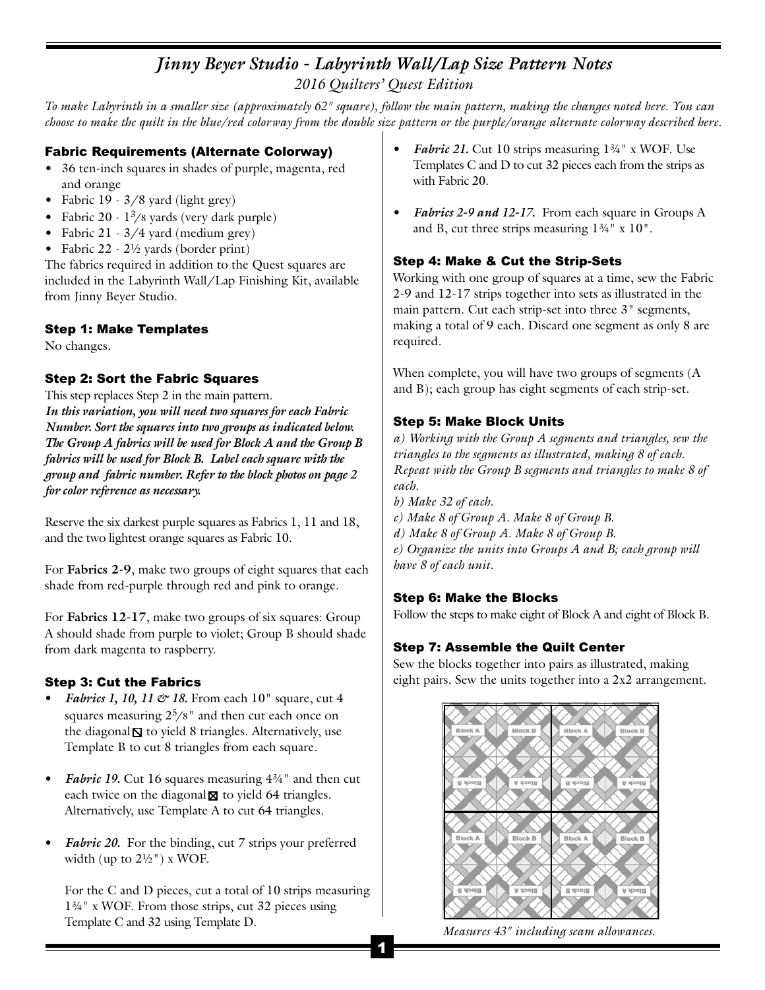# *Jinny Beyer Studio - Labyrinth Wall/Lap Size Pattern Notes 2016 Quilters' Quest Edition*

*To make Labyrinth in a smaller size (approximately 62" square), follow the main pattern, making the changes noted here. You can* zoro guilties guilties fulled the make Labyrinth in a smaller size (approximately 62" square), follow the main pattern, making the changes noted here. You can<br>choose to make the quilt in the blue/red colorway from the doub

# choose to make the quilt in the blue/red colorway from the d<br>**Fabric Requirements (Alternate Colorway)**<br>• <sup>26</sup> ten inch equans in chades of number magantaried

- **Fabric Requirements (Alternate Colorway)**<br>• 36 ten-inch squares in shades of purple, magenta, red 36 ten-inch squares in shades of purple, magenta, red<br>and orange
- Fabric 19 3/8 yard (light grey)
- Fabric 19 3/8 yard (light grey)<br>• Fabric 20 1<sup>3</sup>/8 yards (very dark purple)<br>• Fabric 21 2 /4 yard (modium gray) • Fabric 19 - 3/8 yard (light grey)<br>• Fabric 20 - 1<sup>3</sup>/8 yards (very dark purple<br>• Fabric 21 - 3/4 yard (medium grey)
- Fabric 21  $3/4$  yard (medium grey)<br>• Fabric 22  $2\frac{1}{2}$  yards (border print)
- 

The fabrics required in addition to the Quest squares are • Fabric 22 - 2½ yards (border print)<br>The fabrics required in addition to the Quest squares are<br>included in the Labyrinth Wall/Lap Finishing Kit, available<br>from Jinny Boyer Studie The fabrics required in add<br>included in the Labyrinth V<br>from Jinny Beyer Studio.

### from Jinny Beyer Studio.<br>**Step 1: Make Templates**<br>Nashware **Step 1: Mak**<br>No changes.

# No changes.<br>**Step 2: Sort the Fabric Squares**<br>This star and see from 2 in the main actual:

**Step 2: Sort the Fabric Squares**<br>This step replaces Step 2 in the main pattern. *In this variation, you will need two squares for each Fabric This step replaces Step 2 in the main pattern.<br>In this variation, you will need two squares for each Fabric<br>Number. Sort the squares into two groups as indicated below.<br>The Group A falminomill located for Plack A and the In this variation, you will need two squares for each Fabric*<br>*Number. Sort the squares into two groups as indicated below.*<br>*The Group A fabrics will be used for Block A and the Group B The Group A fabrics will be used for Block A and the Group B fabrics will be used for Block B. Label each square with the The Group A fabrics will be used for Block A and the Group B<br>fabrics will be used for Block B. Label each square with the<br>group and fabric number. Refer to the block photos on page 2*<br>for alon ushannes as necessary fabrics will be used for Block B.<br>group and fabric number. Refe:<br>for color reference as necessary.

for color reference as necessary.<br>Reserve the six darkest purple squares as Fabrics 1, 11 and 18,<br>and the two lightest amppe squares as Fabria 10. Reserve the six darkest purple squares as Fabrics 1,<br>and the two lightest orange squares as Fabric 10.

and the two lightest orange squares as Fabric 10.<br>For **Fabrics 2-9**, make two groups of eight squares that each shade from red-purple through red and pink to orange.

shade from red-purple through red and pink to orange.<br>For **Fabrics 12-1**7, make two groups of six squares: Group<br>A should shade from numbe to violaty Group B should shade. For **Fabrics 12-1**7, make two groups of six squares: Group<br>A should shade from purple to violet; Group B should shade A should shade from purple to violet; Group B should shade from dark magenta to raspberry.

#### Step 3: Cut the Fabrics

- *Fabrics 1, 10, 11*  $\circ$  *18.* From each 10" square, cut 4 **Solut the Fabrics**<br>Fabrics 1, 10, 11 & 18. From each 10" square, cut 4<br>squares measuring  $2^5/8$ " and then cut each once on<br>the diagonal  $\Gamma$  to viald 8 triangles. Alternatively, yes *Fabrics 1, 10, 11*  $\mathcal{O}'$  *18.* From each 10" square, cut 4 squares measuring  $2^5/8$ " and then cut each once on the diagonal  $\mathbb{S}$  to yield 8 triangles. Alternatively, use Tampleta B to gut 8 triangles from each squa the diagonal  $\mathbb S$  to yield 8 triangles. Alternatively, use Template B to cut 8 triangles from each square.
- **•** *Femplate B to cut 8 triangles from each square.*<br>*• <i><i>Fabric 19*. Cut 16 squares measuring 4¾" and then cut aseb trains on the disconsel M to viold 64 triangles. **Fabric 19.** Cut 16 squares measuring  $4\frac{3}{4}$ " and then each twice on the diagonal  $\boxtimes$  to yield 64 triangles. each twice on the diagonal  $\boxtimes$  to yield 64 triangles.<br>Alternatively, use Template A to cut 64 triangles.
- Alternatively, use Template A to cut 64 triangles.<br> **•** *Fabric 20*. For the binding, cut 7 strips your preferred width (up to  $21\frac{k}{n}$ ) w WOE **Fabric 20.** For the binding, width (up to  $2\frac{1}{2}$ ") x WOF. width (up to  $2\frac{1}{2}$ ") x WOF.<br>For the C and D pieces, cut a total of 10 strips measuring

For the C and D pieces, cut a total of 10 strips measuring 134" x WOF. From those strips, cut 32 pieces using For the C and D pieces, cut a total of I<br>1¾" x WOF. From those strips, cut 32<br>Template C and 32 using Template D.

- *pattern or the purple/orange alternate colorway described her*<br>● Fabric 21. Cut 10 strips measuring 1¾" x WOF. Use<br>Tamplates C and D to gut 22 pieces as h from the strips of *Fabric 21*. Cut 10 strips measuring  $1\frac{3}{4}$  x WOF. Use<br>Templates C and D to cut 32 pieces each from the strips as *Fabric 21*. Cut 1<br>Templates C and<br>with Fabric 20.
- *vith Fabric 20.*<br>  *Fabrics 2-9 and 12-17.* From each square in Groups A<br>
and P, sut these strips massnrips 13<sup>/4</sup> x 10<sup>1</sup> *Fabrics 2-9 and 12-17*. From each square in G and B, cut three strips measuring 1¾" x 10". and B, cut three strips measuring  $1\frac{3}{4}$ " x  $10$ ".<br>Step 4: Make & Cut the Strip-Sets

**Step 4: Make & Cut the Strip-Sets**<br>Working with one group of squares at a time, sew the Fabric<br>2.0 and 12.17 strips together into sets as illustrated in the **Step 4: Make & Cut the Strip-Sets**<br>Working with one group of squares at a time, sew the Fabric<br>2-9 and 12-17 strips together into sets as illustrated in the<br>main pattern. Cut as he trip at into three 2<sup>1</sup> segments 2-9 and 12-17 strips together into sets as illustrated in the main pattern. Cut each strip-set into three 3" segments, making a total of 9 each. Discard one segment as only 8 are required.

When complete, you will have two groups of segments (A and B); each group has eight segments of each strip-set.

#### Step 5: Make Block Units

*a) Working with the Group A segments and triangles, sew the triangles to the segments as illustrated, making 8 of each. Repeat with the Group B segments and triangles to make 8 of each.*

*b) Make 32 of each.*

each.<br>b) Make 32 of each.<br>c) Make 8 of Group A. Make 8 of Group B.<br>d) Mahe 8 of Cusup A. Mahe 8 of Cusup B. *d) Make 8 of Group A. Make 8 of Group B. c) Make 8 of Group A. Make 8 of Group B.<br>d) Make 8 of Group A. Make 8 of Group B.<br>e) Organize the units into Groups A and B; each group will<br>long 8 of ogels with d) Make 8 of Group 1*<br>e) Organize the units<br>have 8 of each unit.

# have 8 of each unit.<br>**Step 6: Make the Blocks**

Follow the steps to make eight of Block A and eight of Block B.

### Step 7: Assemble the Quilt Center

Sew the blocks together into pairs as illustrated, making eight pairs. Sew the units together into a 2x2 arrangement.



*Measures 43" including seam allowances.*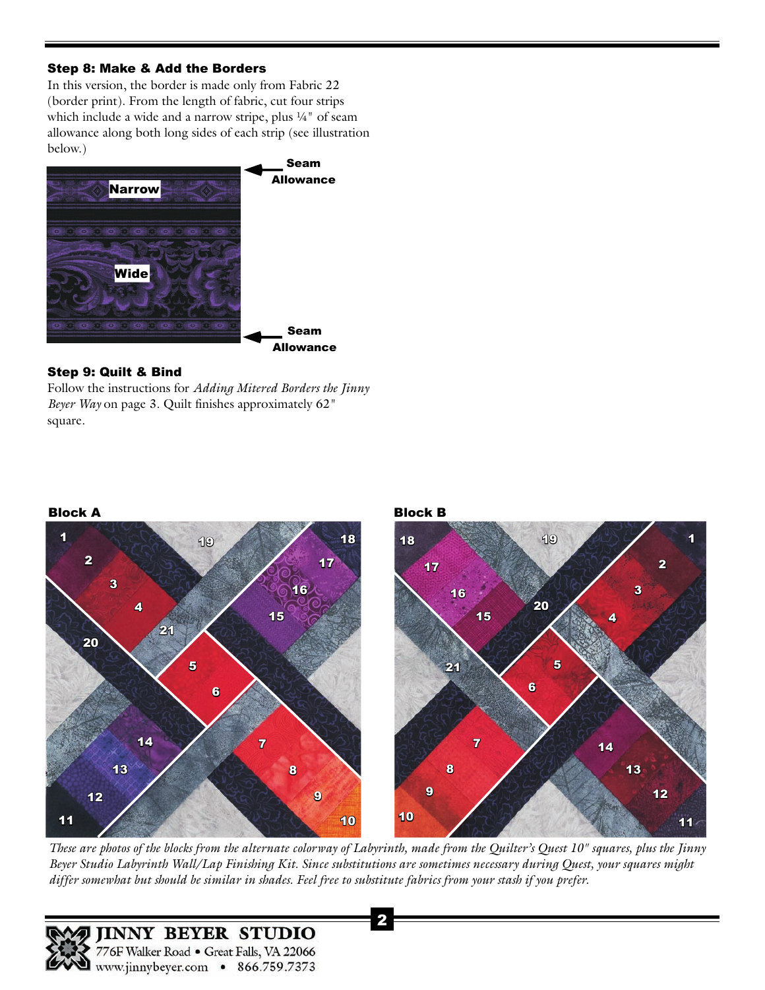#### Step 8: Make & Add the Borders

In this version, the border is made only from Fabric 22 (border print). From the length of fabric, cut four strips which include a wide and a narrow stripe, plus 1/4" of seam allowance along both long sides of each strip (see illustration below.)



#### Step 9: Quilt & Bind

**Step 9: Quilt & Bind**<br>Follow the instructions for *Adding Mitered Borders the Jinny*<br>Pauge Way on name 2. Quilt finishes annoyimately 62<sup>"</sup> **Step 9: Quilt & Bind**<br>Follow the instructions for *Adding Mitered Borders the Jin*<br>*Beyer Way* on page 3. Quilt finishes approximately 62" square.



**11**<br>These are photos of the blocks from the alternate colorway of Labyrinth, made from the Quilter's Quest 10" squares, plus the Jinny<br>Private Labyrinth Wall Lab Finishing Kit, Since aubitiviting and constitutions possess These are photos of the blocks from the alternate colorway of Labyrinth, made from the Quilter's Quest 10" squares, plus the Jinny<br>Beyer Studio Labyrinth Wall/Lap Finishing Kit. Since substitutions are sometimes necessary *differ somewhat but should be similar in shades. Feel free to substitute fabrics from your stash if you prefer.*